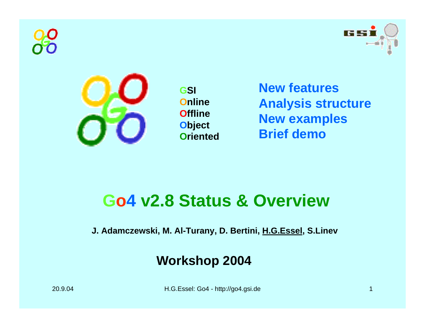



**GSI OnlineOfflineObject Oriented**

**New featuresAnalysis structure New examples Brief demo**

## **Go4 v2.8 Status & Overview**

**J. Adamczewski, M. Al-Turany, D. Bertini, H.G.Essel, S.Linev**

### **Workshop 2004**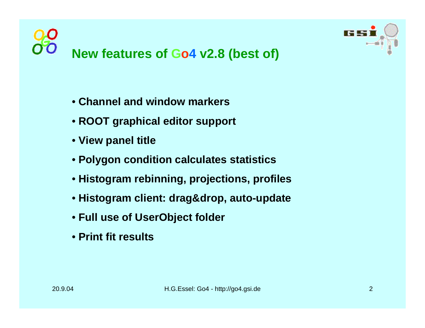



- **Channel and window markers**
- **ROOT graphical editor support**
- **View panel title**
- **Polygon condition calculates statistics**
- **Histogram rebinning, projections, profiles**
- **Histogram client: drag&drop, auto-update**
- **Full use of UserObject folder**
- **Print fit results**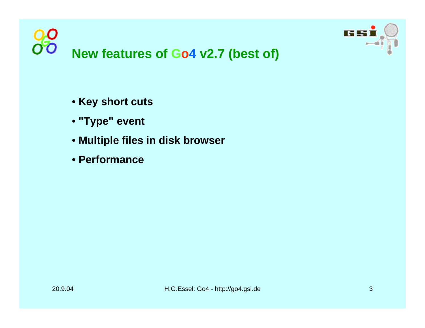



- **Key short cuts**
- **"Type" event**
- **Multiple files in disk browser**
- **Performance**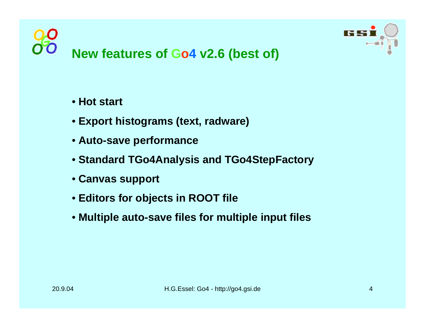



#### • **Hot start**

- **Export histograms (text, radware)**
- **Auto-save performance**
- **Standard TGo4A nalysis and TGo4StepFactory**
- **Canvas support**
- **Editors for objects in ROOT file**
- **Multiple auto-save files for multiple input files**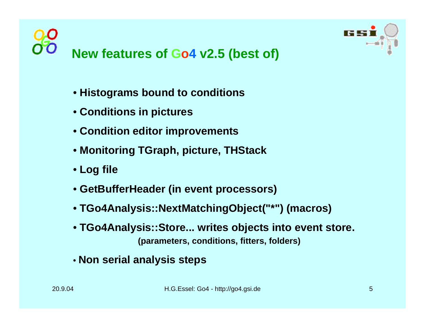



- **Histograms bound to conditions**
- **Conditions in pictures**
- **Condition editor improvements**
- **Monitoring TGraph, picture, THStack**
- **Log file**
- **GetBufferHeader (in event processors)**
- **TGo4Analysis::NextMatchingObject("\*") (macros)**
- **TGo4Analysis::Store... writes objects into event store. (parameters, conditions, fitters, folders)**
- **Non serial analysis steps**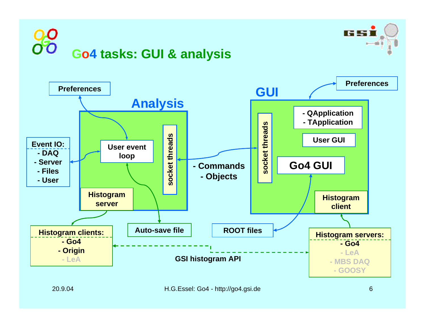



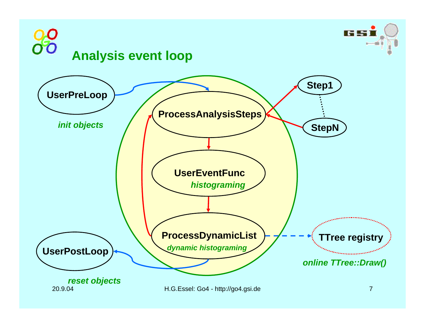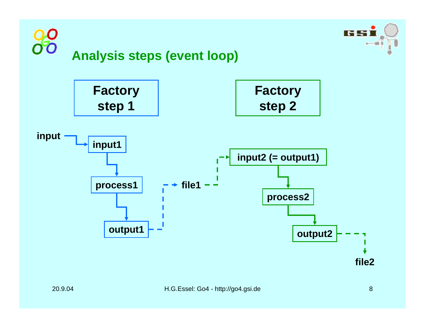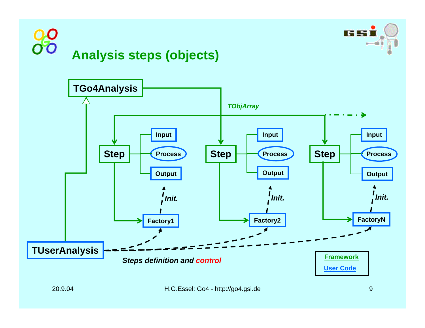



## **Analysis steps (objects)**

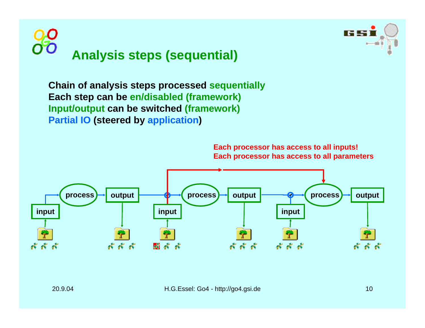



**Chain of analysis steps processed sequentially Each step can be en/disabled (framework) Input/output can b e switched (framework) Partial IO (steered by application )**

> **Each processor has access to all inputs! Each processor has access to all parameters**

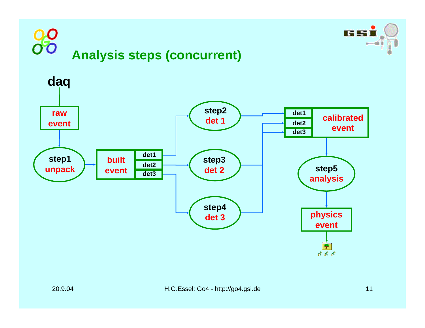# $\overline{O}$



**US 53**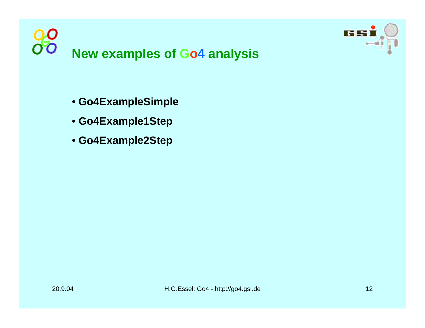



- **Go4ExampleSimple**
- **Go4Example1Step**
- **Go4Example2Step**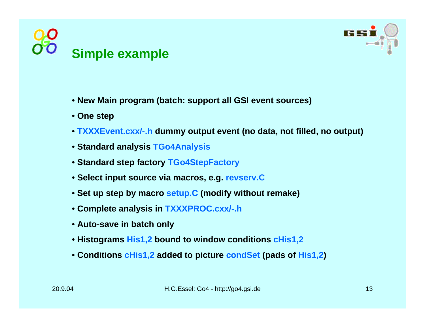



- **New Main program (batch: support all GSI event sources)**
- **One step**
- **TXXXEvent.cxx/-.h dummy output event (no data, not filled, no output)**
- **Standard analysis TGo4Analysis**
- **Standard step factory TGo4StepFactory**
- **Select input source via macros, e.g. revserv.C**
- **Set up step by macro setup.C (modify without remake)**
- **Complete analysis in TXXXPROC.cxx/-.h**
- **Auto-save in b atch only**
- **Histograms His1,2 bound to window conditions cHis1,2**
- **Conditions cHis1,2 added to picture condSet (pads of His1,2)**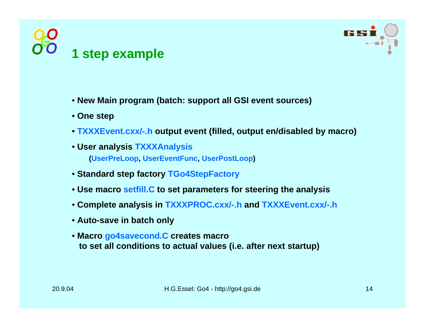



- **New Main program (batch: support all GSI event sources)**
- **One step**
- **TXXXEvent.cxx/-.h output event (filled, output en/disabled b y macro)**
- **User analysis TXXXAnalysis (UserPreLoo p, UserEventFun c, UserPostLoop)**
- **Standard step factory TGo4StepFactory**
- **Use macro setfill.C to set parameters for steering the analysis**
- **Complete analysis in TXXXPROC.cxx/-.h and TXXXEvent.cxx/-.h**
- **Auto-save in b atch only**
- **Macro go4savecond.C creates macr o to set all conditions t o actual values (i.e. after next startup)**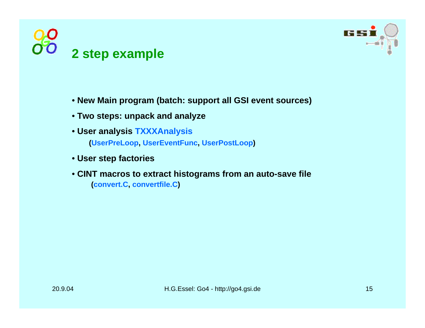



- **New Main program (batch: support all GSI event sources)**
- **Two steps: unpack and analyze**
- **User analysis TXXXAnalysis (UserPreLoo p, UserEventFun c, UserPostLoop)**
- **User step facto ries**
- **CINT macros t o extract histograms f r o m an auto-save file (convert.C, convertfile.C)**